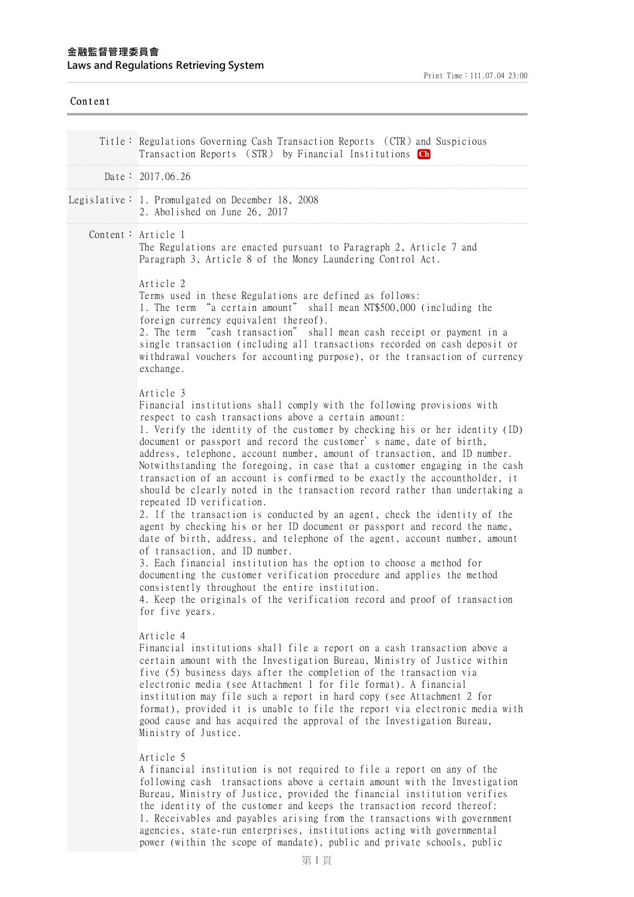| Content |                                                                                                                                                                                                                                                                                                                                                                                                                                                                                                                                                                                                                                                                                                                                                                                                                                                                                                                                                                                                                                                                                                                                                 |
|---------|-------------------------------------------------------------------------------------------------------------------------------------------------------------------------------------------------------------------------------------------------------------------------------------------------------------------------------------------------------------------------------------------------------------------------------------------------------------------------------------------------------------------------------------------------------------------------------------------------------------------------------------------------------------------------------------------------------------------------------------------------------------------------------------------------------------------------------------------------------------------------------------------------------------------------------------------------------------------------------------------------------------------------------------------------------------------------------------------------------------------------------------------------|
|         | Title: Regulations Governing Cash Transaction Reports (CTR) and Suspicious<br>Transaction Reports (STR) by Financial Institutions Ch                                                                                                                                                                                                                                                                                                                                                                                                                                                                                                                                                                                                                                                                                                                                                                                                                                                                                                                                                                                                            |
|         | Date: $2017.06.26$                                                                                                                                                                                                                                                                                                                                                                                                                                                                                                                                                                                                                                                                                                                                                                                                                                                                                                                                                                                                                                                                                                                              |
|         | Legislative: 1. Promulgated on December 18, 2008<br>2. Abolished on June 26, 2017                                                                                                                                                                                                                                                                                                                                                                                                                                                                                                                                                                                                                                                                                                                                                                                                                                                                                                                                                                                                                                                               |
|         | Content: Article 1<br>The Regulations are enacted pursuant to Paragraph 2, Article 7 and<br>Paragraph 3, Article 8 of the Money Laundering Control Act.<br>Article 2<br>Terms used in these Regulations are defined as follows:<br>1. The term "a certain amount" shall mean NT\$500,000 (including the<br>foreign currency equivalent thereof).<br>2. The term "cash transaction" shall mean cash receipt or payment in a<br>single transaction (including all transactions recorded on cash deposit or<br>withdrawal vouchers for accounting purpose), or the transaction of currency<br>exchange.<br>Article 3<br>Financial institutions shall comply with the following provisions with                                                                                                                                                                                                                                                                                                                                                                                                                                                     |
|         | respect to cash transactions above a certain amount:<br>1. Verify the identity of the customer by checking his or her identity (ID)<br>document or passport and record the customer' s name, date of birth,<br>address, telephone, account number, amount of transaction, and ID number.<br>Notwithstanding the foregoing, in case that a customer engaging in the cash<br>transaction of an account is confirmed to be exactly the accountholder, it<br>should be clearly noted in the transaction record rather than undertaking a<br>repeated ID verification.<br>2. If the transaction is conducted by an agent, check the identity of the<br>agent by checking his or her ID document or passport and record the name,<br>date of birth, address, and telephone of the agent, account number, amount<br>of transaction, and ID number.<br>3. Each financial institution has the option to choose a method for<br>documenting the customer verification procedure and applies the method<br>consistently throughout the entire institution.<br>4. Keep the originals of the verification record and proof of transaction<br>for five years. |
|         | Article 4<br>Financial institutions shall file a report on a cash transaction above a<br>certain amount with the Investigation Bureau, Ministry of Justice within<br>five (5) business days after the completion of the transaction via<br>electronic media (see Attachment 1 for file format). A financial<br>institution may file such a report in hard copy (see Attachment 2 for<br>format), provided it is unable to file the report via electronic media with<br>good cause and has acquired the approval of the Investigation Bureau,<br>Ministry of Justice.                                                                                                                                                                                                                                                                                                                                                                                                                                                                                                                                                                            |
|         | Article 5<br>A financial institution is not required to file a report on any of the<br>following cash transactions above a certain amount with the Investigation<br>Bureau, Ministry of Justice, provided the financial institution verifies<br>the identity of the customer and keeps the transaction record thereof:<br>1. Receivables and payables arising from the transactions with government<br>agencies, state-run enterprises, institutions acting with governmental                                                                                                                                                                                                                                                                                                                                                                                                                                                                                                                                                                                                                                                                   |

power (within the scope of mandate), public and private schools, public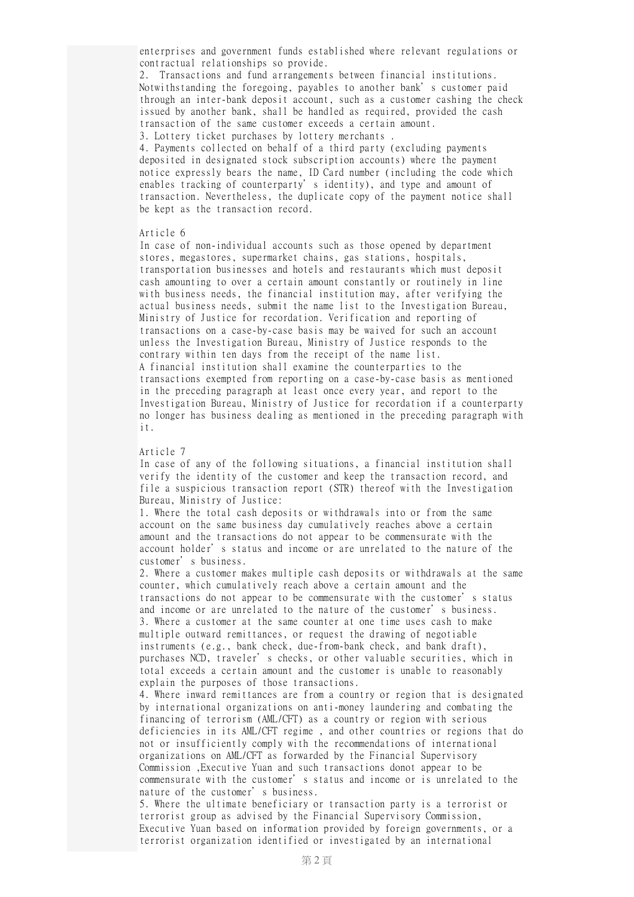enterprises and government funds established where relevant regulations or contractual relationships so provide.

2. Transactions and fund arrangements between financial institutions. Notwithstanding the foregoing, payables to another bank's customer paid through an inter-bank deposit account, such as a customer cashing the check issued by another bank, shall be handled as required, provided the cash transaction of the same customer exceeds a certain amount.

3. Lottery ticket purchases by lottery merchants .

4. Payments collected on behalf of a third party (excluding payments deposited in designated stock subscription accounts) where the payment notice expressly bears the name, ID Card number (including the code which enables tracking of counterparty's identity), and type and amount of transaction. Nevertheless, the duplicate copy of the payment notice shall be kept as the transaction record.

## Article 6

In case of non-individual accounts such as those opened by department stores, megastores, supermarket chains, gas stations, hospitals, transportation businesses and hotels and restaurants which must deposit cash amounting to over a certain amount constantly or routinely in line with business needs, the financial institution may, after verifying the actual business needs, submit the name list to the Investigation Bureau, Ministry of Justice for recordation. Verification and reporting of transactions on a case-by-case basis may be waived for such an account unless the Investigation Bureau, Ministry of Justice responds to the contrary within ten days from the receipt of the name list. A financial institution shall examine the counterparties to the transactions exempted from reporting on a case-by-case basis as mentioned in the preceding paragraph at least once every year, and report to the Investigation Bureau, Ministry of Justice for recordation if a counterparty no longer has business dealing as mentioned in the preceding paragraph with it.

## Article 7

In case of any of the following situations, a financial institution shall verify the identity of the customer and keep the transaction record, and file a suspicious transaction report (STR) thereof with the Investigation Bureau, Ministry of Justice:

1. Where the total cash deposits or withdrawals into or from the same account on the same business day cumulatively reaches above a certain amount and the transactions do not appear to be commensurate with the account holder's status and income or are unrelated to the nature of the customer's business.

2. Where a customer makes multiple cash deposits or withdrawals at the same counter, which cumulatively reach above a certain amount and the transactions do not appear to be commensurate with the customer's status and income or are unrelated to the nature of the customer's business. 3. Where a customer at the same counter at one time uses cash to make multiple outward remittances, or request the drawing of negotiable instruments (e.g., bank check, due-from-bank check, and bank draft), purchases NCD, traveler's checks, or other valuable securities, which in total exceeds a certain amount and the customer is unable to reasonably explain the purposes of those transactions.

4. Where inward remittances are from a country or region that is designated by international organizations on anti-money laundering and combating the financing of terrorism (AML/CFT) as a country or region with serious deficiencies in its AML/CFT regime , and other countries or regions that do not or insufficiently comply with the recommendations of international organizations on AML/CFT as forwarded by the Financial Supervisory Commission ,Executive Yuan and such transactions donot appear to be commensurate with the customer's status and income or is unrelated to the nature of the customer's business.

5. Where the ultimate beneficiary or transaction party is a terrorist or terrorist group as advised by the Financial Supervisory Commission, Executive Yuan based on information provided by foreign governments, or a terrorist organization identified or investigated by an international